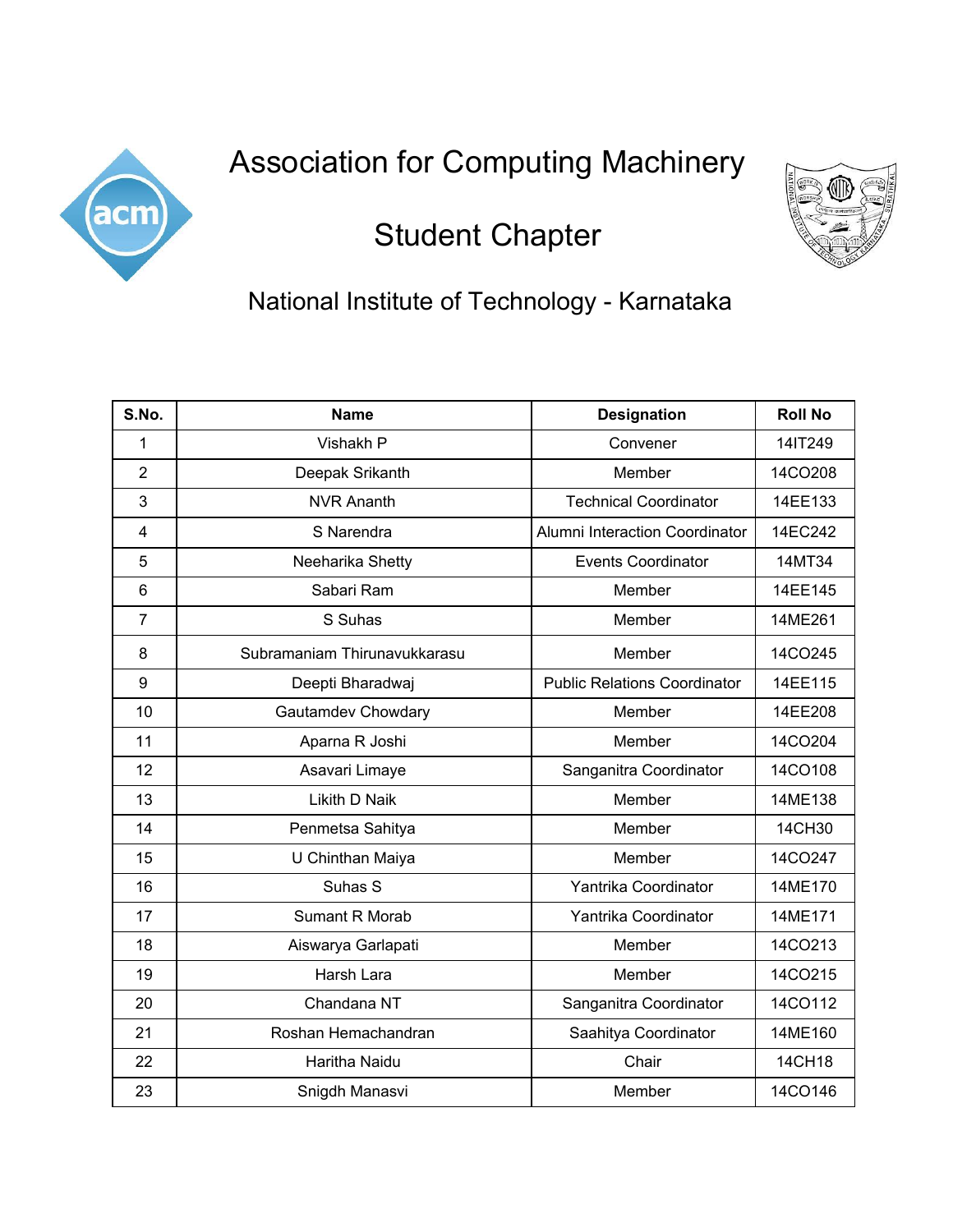

## Association for Computing Machinery

## Student Chapter



## National Institute of Technology - Karnataka

| S.No.          | <b>Name</b>                  | <b>Designation</b>                  | <b>Roll No</b> |
|----------------|------------------------------|-------------------------------------|----------------|
| 1              | Vishakh P                    | Convener                            | 14IT249        |
| $\overline{2}$ | Deepak Srikanth              | Member                              | 14CO208        |
| 3              | <b>NVR Ananth</b>            | <b>Technical Coordinator</b>        | 14EE133        |
| 4              | S Narendra                   | Alumni Interaction Coordinator      | 14EC242        |
| 5              | Neeharika Shetty             | <b>Events Coordinator</b>           | 14MT34         |
| 6              | Sabari Ram                   | Member                              | 14EE145        |
| $\overline{7}$ | S Suhas                      | Member                              | 14ME261        |
| 8              | Subramaniam Thirunavukkarasu | Member                              | 14CO245        |
| 9              | Deepti Bharadwaj             | <b>Public Relations Coordinator</b> | 14EE115        |
| 10             | Gautamdev Chowdary           | Member                              | 14EE208        |
| 11             | Aparna R Joshi               | Member                              | 14CO204        |
| 12             | Asavari Limaye               | Sanganitra Coordinator              | 14CO108        |
| 13             | Likith D Naik                | Member                              | 14ME138        |
| 14             | Penmetsa Sahitya             | Member                              | 14CH30         |
| 15             | U Chinthan Maiya             | Member                              | 14CO247        |
| 16             | Suhas S                      | Yantrika Coordinator                | 14ME170        |
| 17             | Sumant R Morab               | Yantrika Coordinator                | 14ME171        |
| 18             | Aiswarya Garlapati           | Member                              | 14CO213        |
| 19             | Harsh Lara                   | Member                              | 14CO215        |
| 20             | Chandana NT                  | Sanganitra Coordinator              | 14CO112        |
| 21             | Roshan Hemachandran          | Saahitya Coordinator                | 14ME160        |
| 22             | Haritha Naidu                | Chair                               | 14CH18         |
| 23             | Snigdh Manasvi               | Member                              | 14CO146        |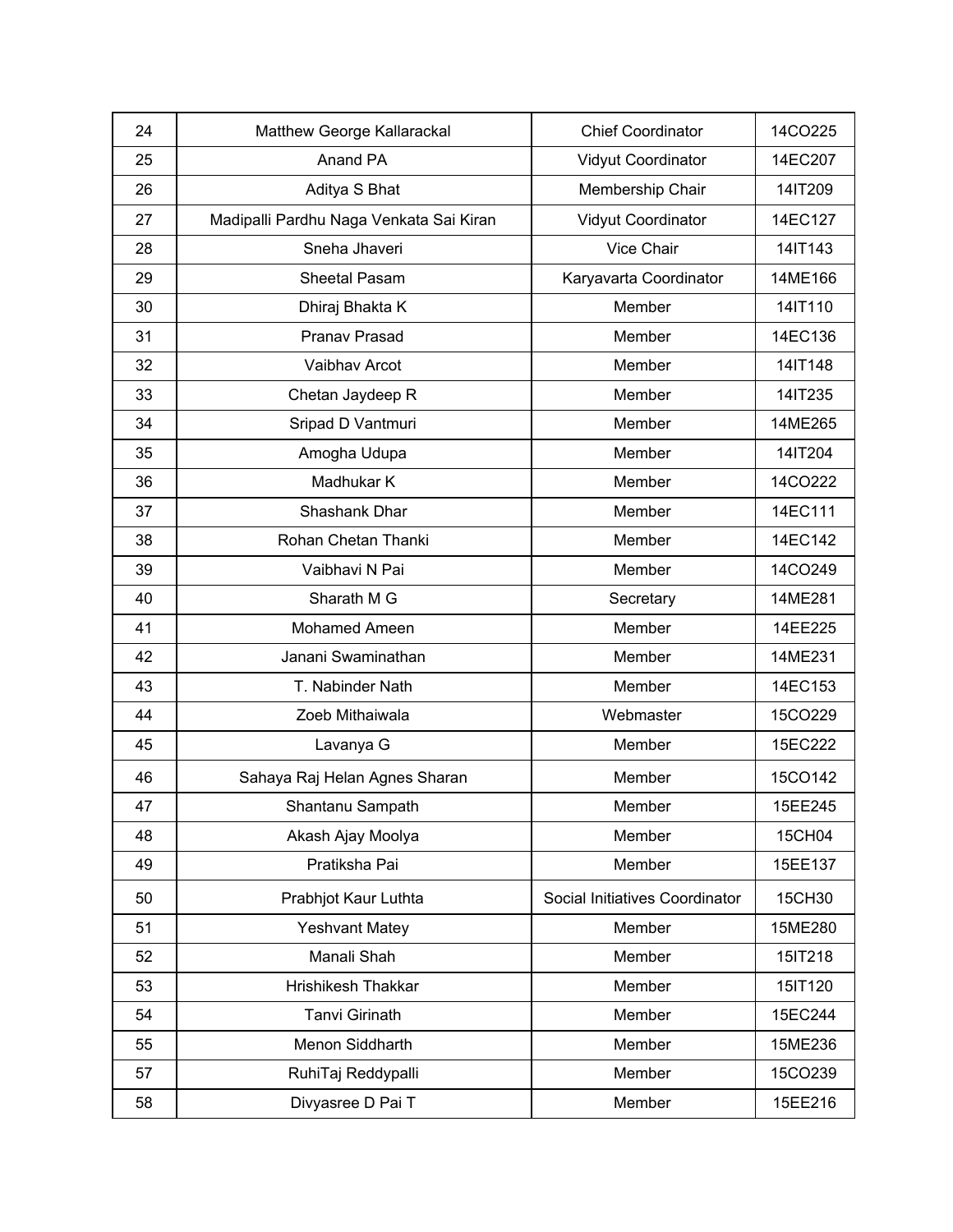| 24 | Matthew George Kallarackal              | <b>Chief Coordinator</b>       | 14CO225 |
|----|-----------------------------------------|--------------------------------|---------|
| 25 | Anand PA                                | Vidyut Coordinator             | 14EC207 |
| 26 | Aditya S Bhat                           | Membership Chair               | 14IT209 |
| 27 | Madipalli Pardhu Naga Venkata Sai Kiran | Vidyut Coordinator             | 14EC127 |
| 28 | Sneha Jhaveri                           | Vice Chair                     | 14IT143 |
| 29 | Sheetal Pasam                           | Karyavarta Coordinator         | 14ME166 |
| 30 | Dhiraj Bhakta K                         | Member                         | 14IT110 |
| 31 | Pranav Prasad                           | Member                         | 14EC136 |
| 32 | Vaibhav Arcot                           | Member                         | 14IT148 |
| 33 | Chetan Jaydeep R                        | Member                         | 14IT235 |
| 34 | Sripad D Vantmuri                       | Member                         | 14ME265 |
| 35 | Amogha Udupa                            | Member                         | 14IT204 |
| 36 | Madhukar K                              | Member                         | 14CO222 |
| 37 | Shashank Dhar                           | Member                         | 14EC111 |
| 38 | Rohan Chetan Thanki                     | Member                         | 14EC142 |
| 39 | Vaibhavi N Pai                          | Member                         | 14CO249 |
| 40 | Sharath M G                             | Secretary                      | 14ME281 |
| 41 | Mohamed Ameen                           | Member                         | 14EE225 |
| 42 | Janani Swaminathan                      | Member                         | 14ME231 |
| 43 | T. Nabinder Nath                        | Member                         | 14EC153 |
| 44 | Zoeb Mithaiwala                         | Webmaster                      | 15CO229 |
| 45 | Lavanya G                               | Member                         | 15EC222 |
| 46 | Sahaya Raj Helan Agnes Sharan           | Member                         | 15CO142 |
| 47 | Shantanu Sampath                        | Member                         | 15EE245 |
| 48 | Akash Ajay Moolya                       | Member                         | 15CH04  |
| 49 | Pratiksha Pai                           | Member                         | 15EE137 |
| 50 | Prabhjot Kaur Luthta                    | Social Initiatives Coordinator | 15CH30  |
| 51 | <b>Yeshvant Matey</b>                   | Member                         | 15ME280 |
| 52 | Manali Shah                             | Member                         | 15IT218 |
| 53 | Hrishikesh Thakkar                      | Member                         | 15IT120 |
| 54 | Tanvi Girinath                          | Member                         | 15EC244 |
| 55 | Menon Siddharth                         | Member                         | 15ME236 |
| 57 | RuhiTaj Reddypalli                      | Member                         | 15CO239 |
| 58 | Divyasree D Pai T                       | Member                         | 15EE216 |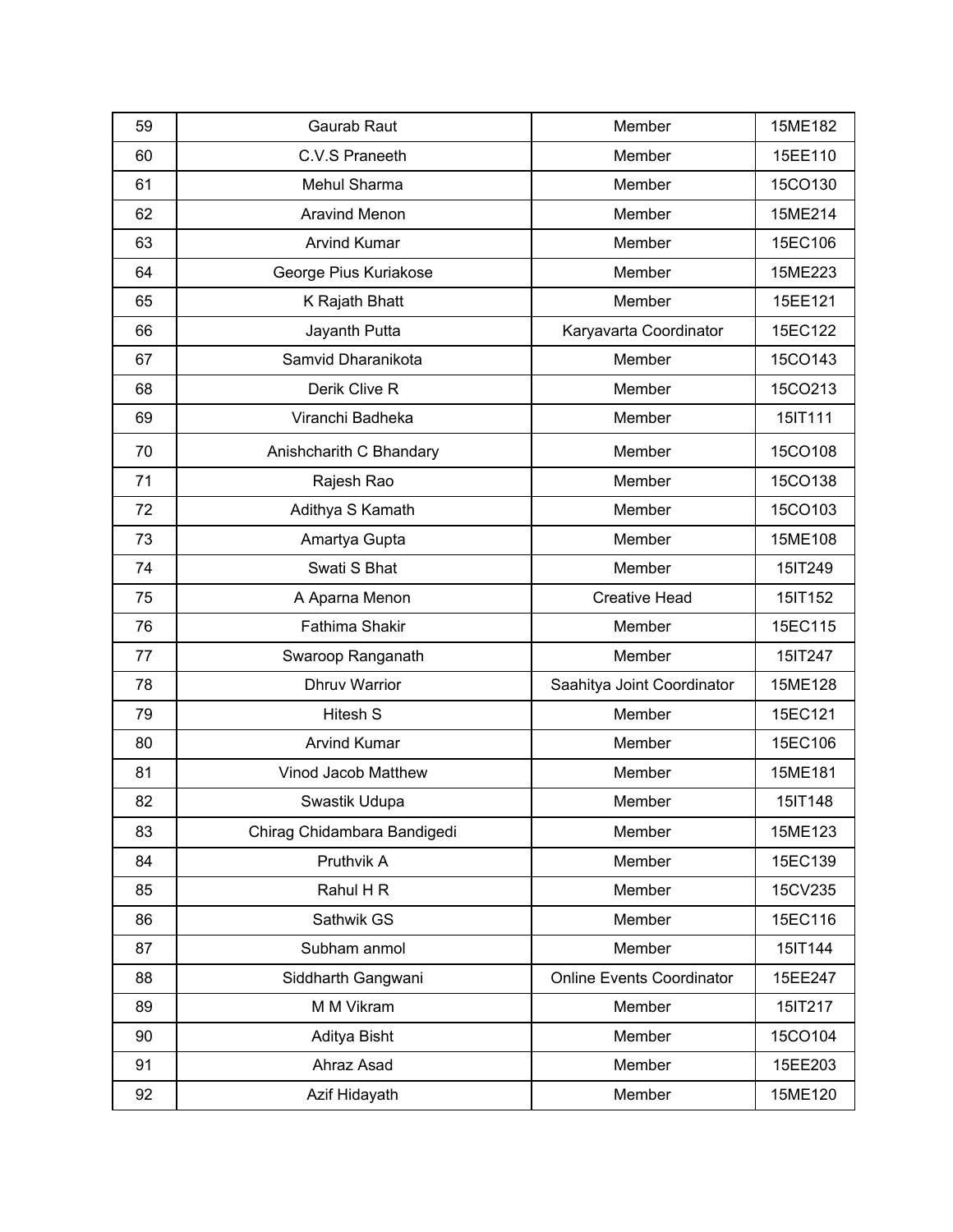| 59 | Gaurab Raut                 | Member                           | 15ME182 |
|----|-----------------------------|----------------------------------|---------|
| 60 | C.V.S Praneeth              | Member                           | 15EE110 |
| 61 | Mehul Sharma                | Member                           | 15CO130 |
| 62 | <b>Aravind Menon</b>        | Member                           | 15ME214 |
| 63 | <b>Arvind Kumar</b>         | Member                           | 15EC106 |
| 64 | George Pius Kuriakose       | Member                           | 15ME223 |
| 65 | K Rajath Bhatt              | Member                           | 15EE121 |
| 66 | Jayanth Putta               | Karyavarta Coordinator           | 15EC122 |
| 67 | Samvid Dharanikota          | Member                           | 15CO143 |
| 68 | Derik Clive R               | Member                           | 15CO213 |
| 69 | Viranchi Badheka            | Member                           | 15IT111 |
| 70 | Anishcharith C Bhandary     | Member                           | 15CO108 |
| 71 | Rajesh Rao                  | Member                           | 15CO138 |
| 72 | Adithya S Kamath            | Member                           | 15CO103 |
| 73 | Amartya Gupta               | Member                           | 15ME108 |
| 74 | Swati S Bhat                | Member                           | 15IT249 |
| 75 | A Aparna Menon              | <b>Creative Head</b>             | 15IT152 |
| 76 | <b>Fathima Shakir</b>       | Member                           | 15EC115 |
| 77 | Swaroop Ranganath           | Member                           | 15IT247 |
| 78 | <b>Dhruv Warrior</b>        | Saahitya Joint Coordinator       | 15ME128 |
| 79 | Hitesh S                    | Member                           | 15EC121 |
| 80 | <b>Arvind Kumar</b>         | Member                           | 15EC106 |
| 81 | Vinod Jacob Matthew         | Member                           | 15ME181 |
| 82 | Swastik Udupa               | Member                           | 15IT148 |
| 83 | Chirag Chidambara Bandigedi | Member                           | 15ME123 |
| 84 | Pruthvik A                  | Member                           | 15EC139 |
| 85 | Rahul H R                   | Member                           | 15CV235 |
| 86 | Sathwik GS                  | Member                           | 15EC116 |
| 87 | Subham anmol                | Member                           | 15IT144 |
| 88 | Siddharth Gangwani          | <b>Online Events Coordinator</b> | 15EE247 |
| 89 | M M Vikram                  | Member                           | 15IT217 |
| 90 | Aditya Bisht                | Member                           | 15CO104 |
| 91 | Ahraz Asad                  | Member                           | 15EE203 |
| 92 | Azif Hidayath               | Member                           | 15ME120 |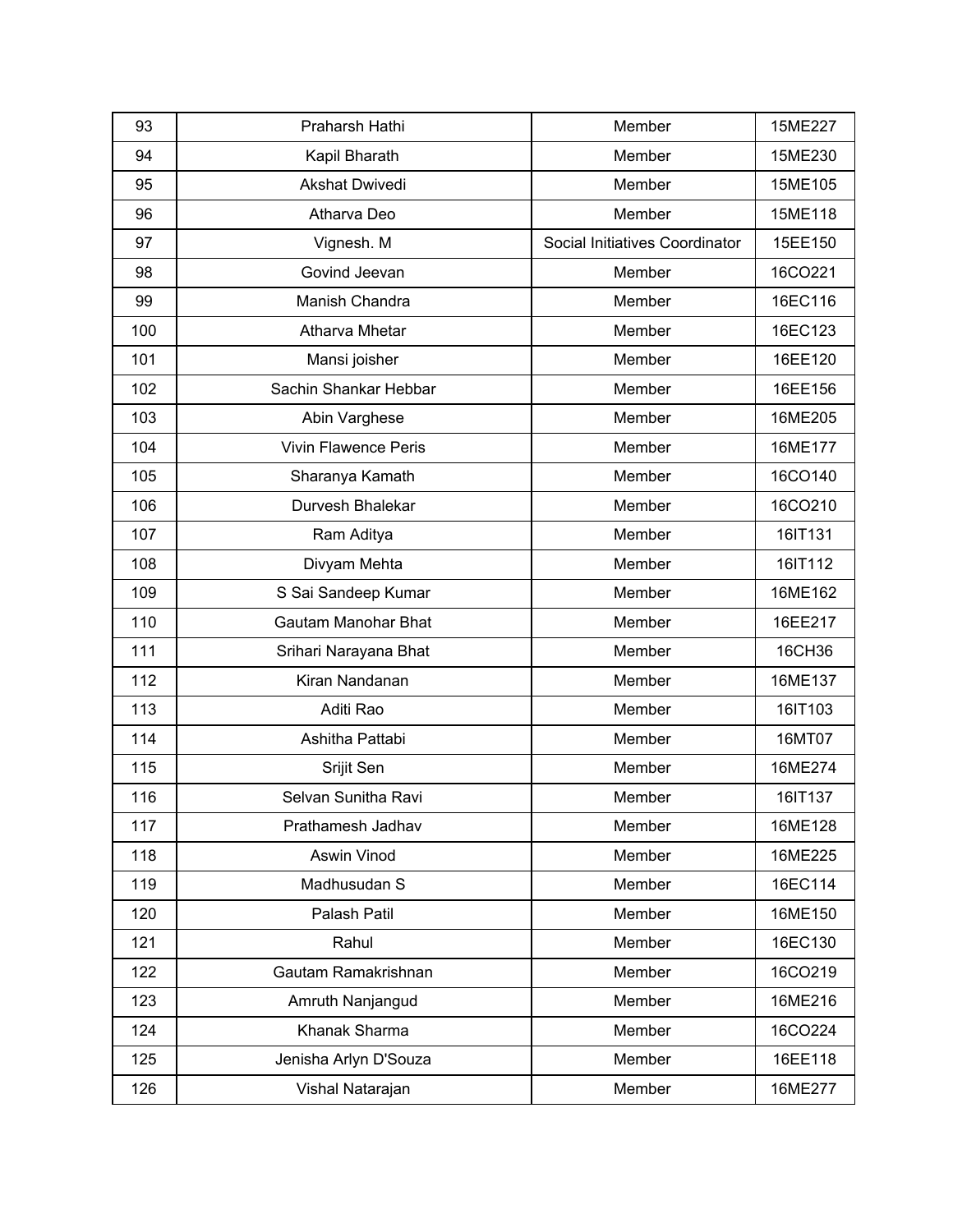| 93  | Praharsh Hathi              | Member                         | 15ME227 |
|-----|-----------------------------|--------------------------------|---------|
| 94  | Kapil Bharath               | Member                         | 15ME230 |
| 95  | <b>Akshat Dwivedi</b>       | Member                         | 15ME105 |
| 96  | Atharva Deo                 | Member                         | 15ME118 |
| 97  | Vignesh. M                  | Social Initiatives Coordinator | 15EE150 |
| 98  | Govind Jeevan               | Member                         | 16CO221 |
| 99  | Manish Chandra              | Member                         | 16EC116 |
| 100 | Atharva Mhetar              | Member                         | 16EC123 |
| 101 | Mansi joisher               | Member                         | 16EE120 |
| 102 | Sachin Shankar Hebbar       | Member                         | 16EE156 |
| 103 | Abin Varghese               | Member                         | 16ME205 |
| 104 | <b>Vivin Flawence Peris</b> | Member                         | 16ME177 |
| 105 | Sharanya Kamath             | Member                         | 16CO140 |
| 106 | Durvesh Bhalekar            | Member                         | 16CO210 |
| 107 | Ram Aditya                  | Member                         | 16IT131 |
| 108 | Divyam Mehta                | Member                         | 16IT112 |
| 109 | S Sai Sandeep Kumar         | Member                         | 16ME162 |
| 110 | <b>Gautam Manohar Bhat</b>  | Member                         | 16EE217 |
| 111 | Srihari Narayana Bhat       | Member                         | 16CH36  |
| 112 | Kiran Nandanan              | Member                         | 16ME137 |
| 113 | Aditi Rao                   | Member                         | 16IT103 |
| 114 | Ashitha Pattabi             | Member                         | 16MT07  |
| 115 | Srijit Sen                  | Member                         | 16ME274 |
| 116 | Selvan Sunitha Ravi         | Member                         | 16IT137 |
| 117 | Prathamesh Jadhav           | Member                         | 16ME128 |
| 118 | Aswin Vinod                 | Member                         | 16ME225 |
| 119 | Madhusudan S                | Member                         | 16EC114 |
| 120 | Palash Patil                | Member                         | 16ME150 |
| 121 | Rahul                       | Member                         | 16EC130 |
| 122 | Gautam Ramakrishnan         | Member                         | 16CO219 |
| 123 | Amruth Nanjangud            | Member                         | 16ME216 |
| 124 | Khanak Sharma               | Member                         | 16CO224 |
| 125 | Jenisha Arlyn D'Souza       | Member                         | 16EE118 |
| 126 | Vishal Natarajan            | Member                         | 16ME277 |